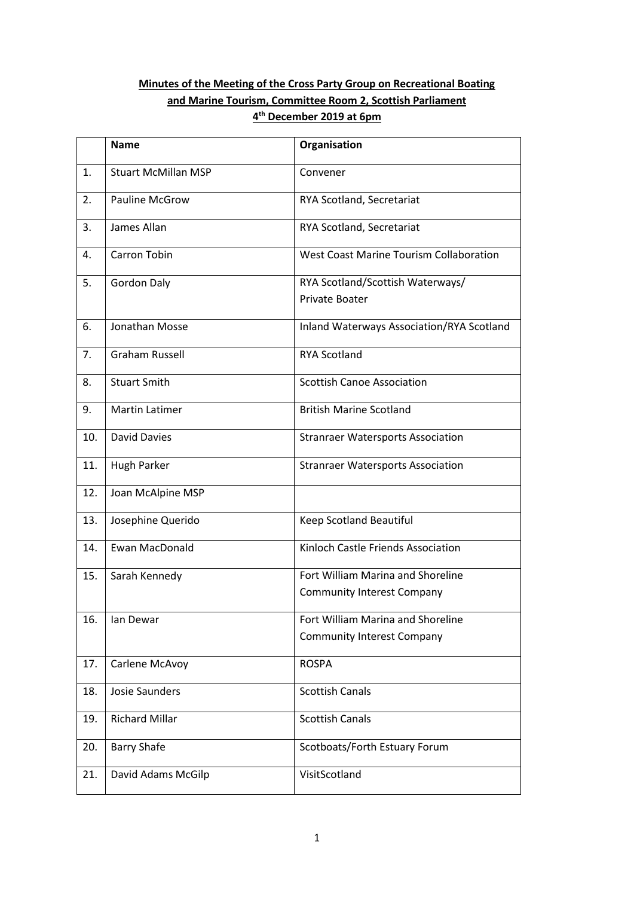# **Minutes of the Meeting of the Cross Party Group on Recreational Boating and Marine Tourism, Committee Room 2, Scottish Parliament 4 th December 2019 at 6pm**

|     | <b>Name</b>                | Organisation                                              |  |
|-----|----------------------------|-----------------------------------------------------------|--|
| 1.  | <b>Stuart McMillan MSP</b> | Convener                                                  |  |
| 2.  | <b>Pauline McGrow</b>      | RYA Scotland, Secretariat                                 |  |
| 3.  | James Allan                | RYA Scotland, Secretariat                                 |  |
| 4.  | Carron Tobin               | West Coast Marine Tourism Collaboration                   |  |
| 5.  | <b>Gordon Daly</b>         | RYA Scotland/Scottish Waterways/<br><b>Private Boater</b> |  |
| 6.  | Jonathan Mosse             | Inland Waterways Association/RYA Scotland                 |  |
| 7.  | <b>Graham Russell</b>      | <b>RYA Scotland</b>                                       |  |
| 8.  | <b>Stuart Smith</b>        | <b>Scottish Canoe Association</b>                         |  |
| 9.  | <b>Martin Latimer</b>      | <b>British Marine Scotland</b>                            |  |
| 10. | <b>David Davies</b>        | <b>Stranraer Watersports Association</b>                  |  |
| 11. | Hugh Parker                | <b>Stranraer Watersports Association</b>                  |  |
| 12. | Joan McAlpine MSP          |                                                           |  |
| 13. | Josephine Querido          | Keep Scotland Beautiful                                   |  |
| 14. | Ewan MacDonald             | Kinloch Castle Friends Association                        |  |
| 15. | Sarah Kennedy              | Fort William Marina and Shoreline                         |  |
|     |                            | <b>Community Interest Company</b>                         |  |
| 16. | lan Dewar                  | Fort William Marina and Shoreline                         |  |
|     |                            | <b>Community Interest Company</b>                         |  |
| 17. | Carlene McAvoy             | <b>ROSPA</b>                                              |  |
| 18. | <b>Josie Saunders</b>      | <b>Scottish Canals</b>                                    |  |
| 19. | <b>Richard Millar</b>      | <b>Scottish Canals</b>                                    |  |
| 20. | <b>Barry Shafe</b>         | Scotboats/Forth Estuary Forum                             |  |
| 21. | David Adams McGilp         | VisitScotland                                             |  |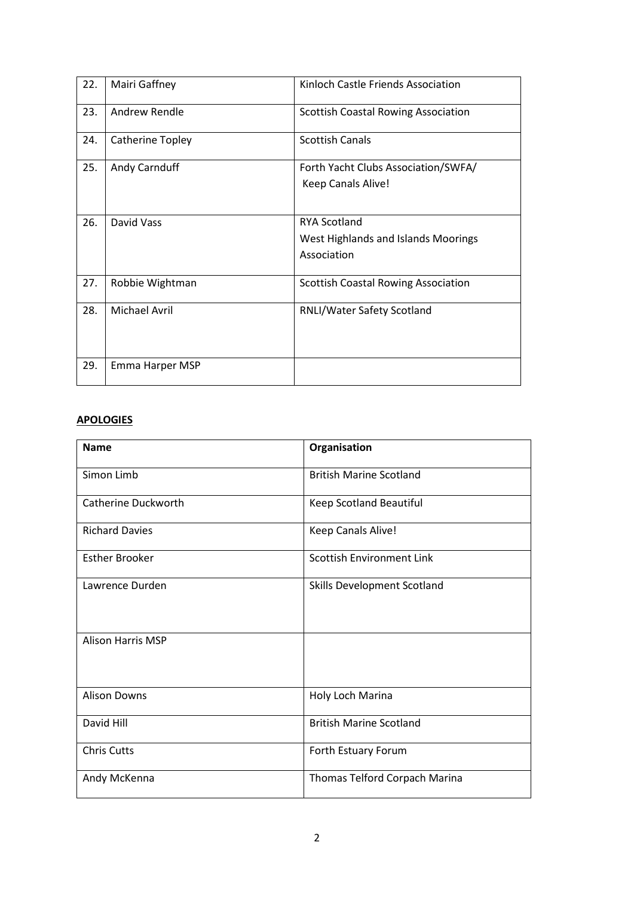| 22. | Mairi Gaffney        | Kinloch Castle Friends Association                                        |  |  |
|-----|----------------------|---------------------------------------------------------------------------|--|--|
| 23. | <b>Andrew Rendle</b> | <b>Scottish Coastal Rowing Association</b>                                |  |  |
| 24. | Catherine Topley     | <b>Scottish Canals</b>                                                    |  |  |
| 25. | Andy Carnduff        | Forth Yacht Clubs Association/SWFA/<br>Keep Canals Alive!                 |  |  |
| 26. | David Vass           | <b>RYA Scotland</b><br>West Highlands and Islands Moorings<br>Association |  |  |
| 27. | Robbie Wightman      | <b>Scottish Coastal Rowing Association</b>                                |  |  |
| 28. | <b>Michael Avril</b> | RNLI/Water Safety Scotland                                                |  |  |
| 29. | Emma Harper MSP      |                                                                           |  |  |

# **APOLOGIES**

| <b>Name</b>              | Organisation                     |
|--------------------------|----------------------------------|
| Simon Limb               | <b>British Marine Scotland</b>   |
| Catherine Duckworth      | Keep Scotland Beautiful          |
| <b>Richard Davies</b>    | Keep Canals Alive!               |
| <b>Esther Brooker</b>    | <b>Scottish Environment Link</b> |
| Lawrence Durden          | Skills Development Scotland      |
| <b>Alison Harris MSP</b> |                                  |
| <b>Alison Downs</b>      | Holy Loch Marina                 |
| David Hill               | <b>British Marine Scotland</b>   |
| <b>Chris Cutts</b>       | Forth Estuary Forum              |
| Andy McKenna             | Thomas Telford Corpach Marina    |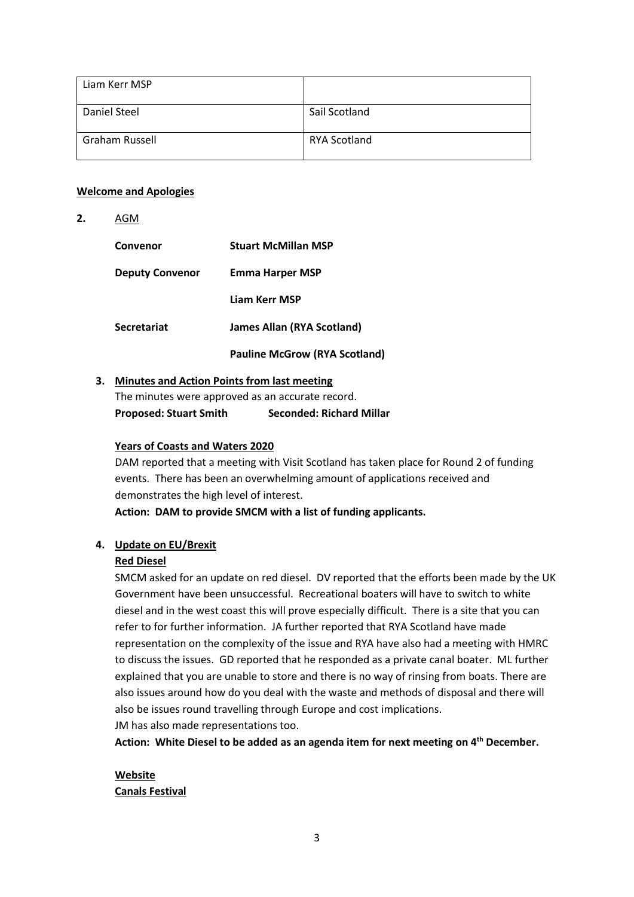| Liam Kerr MSP  |               |
|----------------|---------------|
| Daniel Steel   | Sail Scotland |
| Graham Russell | RYA Scotland  |

#### **Welcome and Apologies**

**2.** AGM

| Convenor               | <b>Stuart McMillan MSP</b>           |
|------------------------|--------------------------------------|
| <b>Deputy Convenor</b> | <b>Emma Harper MSP</b>               |
|                        | Liam Kerr MSP                        |
| <b>Secretariat</b>     | <b>James Allan (RYA Scotland)</b>    |
|                        | <b>Pauline McGrow (RYA Scotland)</b> |

#### **3. Minutes and Action Points from last meeting**

The minutes were approved as an accurate record. **Proposed: Stuart Smith Seconded: Richard Millar**

### **Years of Coasts and Waters 2020**

DAM reported that a meeting with Visit Scotland has taken place for Round 2 of funding events. There has been an overwhelming amount of applications received and demonstrates the high level of interest.

**Action: DAM to provide SMCM with a list of funding applicants.**

## **4. Update on EU/Brexit**

## **Red Diesel**

SMCM asked for an update on red diesel. DV reported that the efforts been made by the UK Government have been unsuccessful. Recreational boaters will have to switch to white diesel and in the west coast this will prove especially difficult. There is a site that you can refer to for further information. JA further reported that RYA Scotland have made representation on the complexity of the issue and RYA have also had a meeting with HMRC to discuss the issues. GD reported that he responded as a private canal boater. ML further explained that you are unable to store and there is no way of rinsing from boats. There are also issues around how do you deal with the waste and methods of disposal and there will also be issues round travelling through Europe and cost implications. JM has also made representations too.

**Action: White Diesel to be added as an agenda item for next meeting on 4th December.**

#### **Website Canals Festival**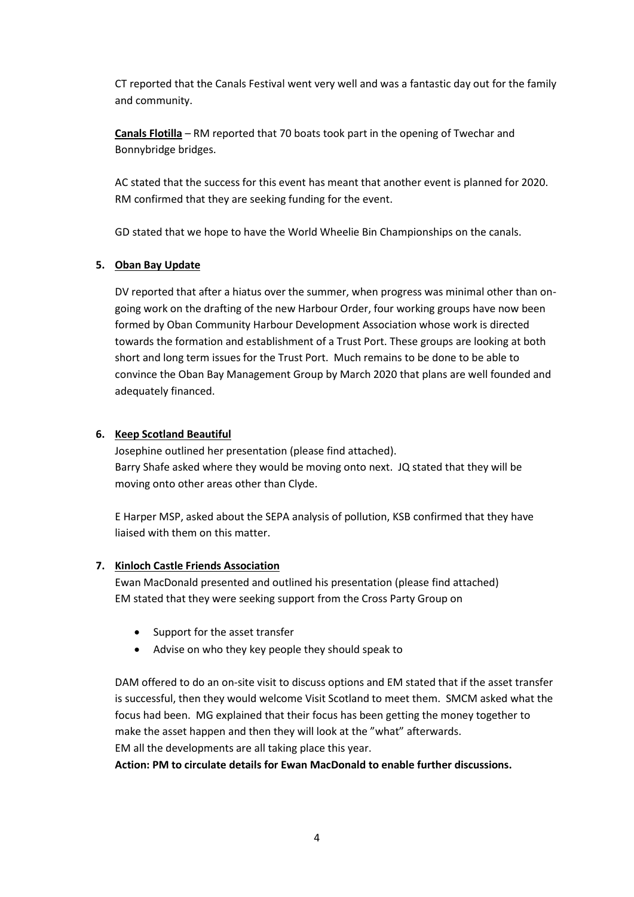CT reported that the Canals Festival went very well and was a fantastic day out for the family and community.

**Canals Flotilla** – RM reported that 70 boats took part in the opening of Twechar and Bonnybridge bridges.

AC stated that the success for this event has meant that another event is planned for 2020. RM confirmed that they are seeking funding for the event.

GD stated that we hope to have the World Wheelie Bin Championships on the canals.

#### **5. Oban Bay Update**

DV reported that after a hiatus over the summer, when progress was minimal other than ongoing work on the drafting of the new Harbour Order, four working groups have now been formed by Oban Community Harbour Development Association whose work is directed towards the formation and establishment of a Trust Port. These groups are looking at both short and long term issues for the Trust Port. Much remains to be done to be able to convince the Oban Bay Management Group by March 2020 that plans are well founded and adequately financed.

#### **6. Keep Scotland Beautiful**

Josephine outlined her presentation (please find attached). Barry Shafe asked where they would be moving onto next. JQ stated that they will be moving onto other areas other than Clyde.

E Harper MSP, asked about the SEPA analysis of pollution, KSB confirmed that they have liaised with them on this matter.

## **7. Kinloch Castle Friends Association**

Ewan MacDonald presented and outlined his presentation (please find attached) EM stated that they were seeking support from the Cross Party Group on

- Support for the asset transfer
- Advise on who they key people they should speak to

DAM offered to do an on-site visit to discuss options and EM stated that if the asset transfer is successful, then they would welcome Visit Scotland to meet them. SMCM asked what the focus had been. MG explained that their focus has been getting the money together to make the asset happen and then they will look at the "what" afterwards. EM all the developments are all taking place this year.

**Action: PM to circulate details for Ewan MacDonald to enable further discussions.**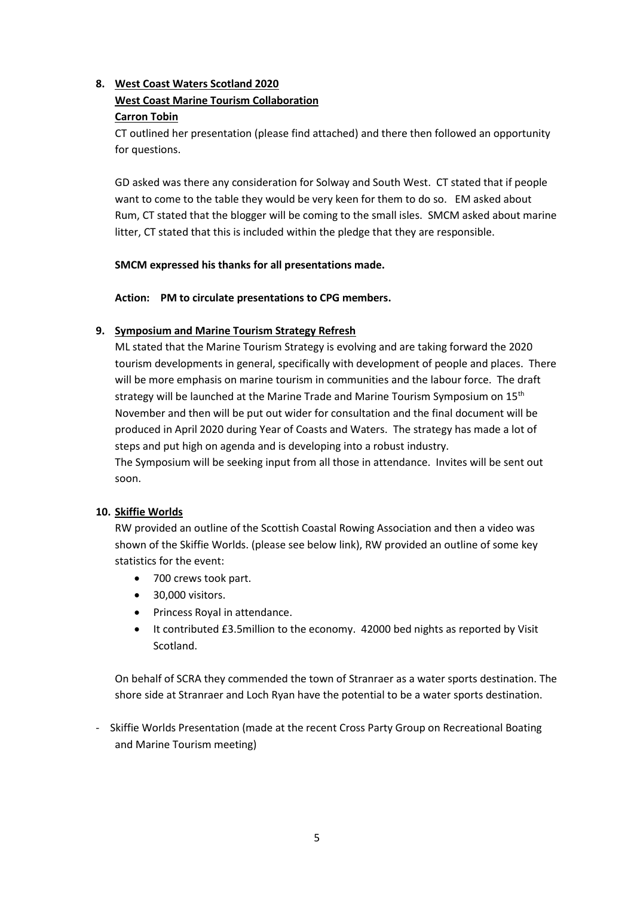## **8. West Coast Waters Scotland 2020**

## **West Coast Marine Tourism Collaboration**

### **Carron Tobin**

CT outlined her presentation (please find attached) and there then followed an opportunity for questions.

GD asked was there any consideration for Solway and South West. CT stated that if people want to come to the table they would be very keen for them to do so. EM asked about Rum, CT stated that the blogger will be coming to the small isles. SMCM asked about marine litter, CT stated that this is included within the pledge that they are responsible.

## **SMCM expressed his thanks for all presentations made.**

**Action: PM to circulate presentations to CPG members.** 

#### **9. Symposium and Marine Tourism Strategy Refresh**

ML stated that the Marine Tourism Strategy is evolving and are taking forward the 2020 tourism developments in general, specifically with development of people and places. There will be more emphasis on marine tourism in communities and the labour force. The draft strategy will be launched at the Marine Trade and Marine Tourism Symposium on 15<sup>th</sup> November and then will be put out wider for consultation and the final document will be produced in April 2020 during Year of Coasts and Waters. The strategy has made a lot of steps and put high on agenda and is developing into a robust industry. The Symposium will be seeking input from all those in attendance. Invites will be sent out soon.

#### **10. Skiffie Worlds**

RW provided an outline of the Scottish Coastal Rowing Association and then a video was shown of the Skiffie Worlds. (please see below link), RW provided an outline of some key statistics for the event:

- 700 crews took part.
- 30,000 visitors.
- Princess Royal in attendance.
- It contributed £3.5million to the economy. 42000 bed nights as reported by Visit Scotland.

On behalf of SCRA they commended the town of Stranraer as a water sports destination. The shore side at Stranraer and Loch Ryan have the potential to be a water sports destination.

- Skiffie Worlds Presentation (made at the recent Cross Party Group on Recreational Boating and Marine Tourism meeting)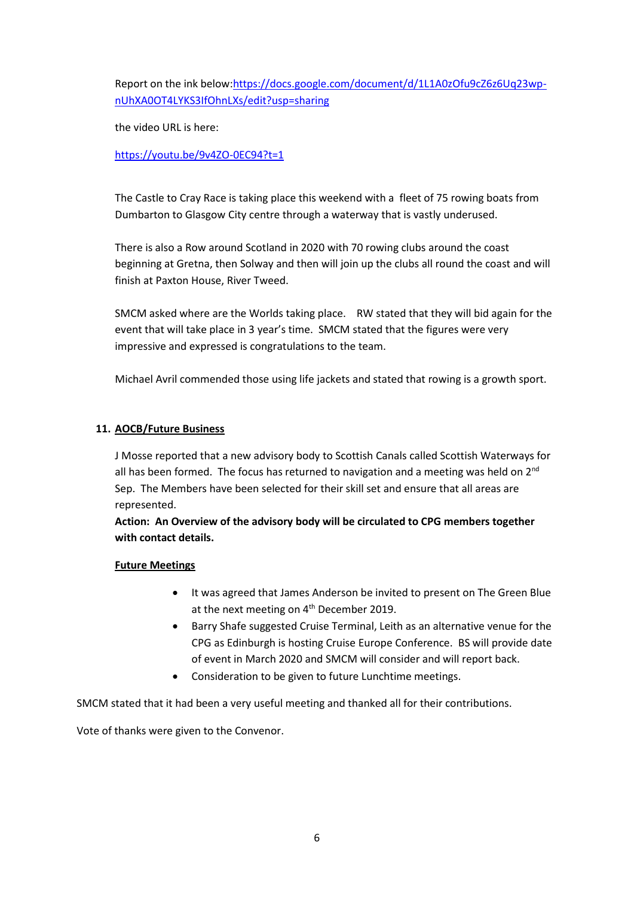Report on the ink below[:https://docs.google.com/document/d/1L1A0zOfu9cZ6z6Uq23wp](https://docs.google.com/document/d/1L1A0zOfu9cZ6z6Uq23wp-nUhXA0OT4LYKS3IfOhnLXs/edit?usp=sharing)[nUhXA0OT4LYKS3IfOhnLXs/edit?usp=sharing](https://docs.google.com/document/d/1L1A0zOfu9cZ6z6Uq23wp-nUhXA0OT4LYKS3IfOhnLXs/edit?usp=sharing)

the video URL is here:

[https://youtu.be/9v4ZO-0EC94?t=1](https://url6.mailanyone.net/v1/?m=1iAd3o-0001ZH-3H&i=57e1b682&c=7v8kaqmkxP1upLtn1GkOip-Fgy3EPLXUW8foHWj1g7G974K0f5uR5HxFnEJ-BUIpj-1dJzNM2_4oazEIBmf1zQjgyyo3l3MuNeGg9Oo5vQtRKAAGRVNwhsaqgXIueUidBltAAlWA28blOAQ4Rxd8XFjgiB6DubgEGnUsacd0BOmmP-9RJkH8GdlhBdCfbXsWelfMCuYDFVNRHiduYY6-Fpq_9fGwKclGUJEeq_5NS_E)

The Castle to Cray Race is taking place this weekend with a fleet of 75 rowing boats from Dumbarton to Glasgow City centre through a waterway that is vastly underused.

There is also a Row around Scotland in 2020 with 70 rowing clubs around the coast beginning at Gretna, then Solway and then will join up the clubs all round the coast and will finish at Paxton House, River Tweed.

SMCM asked where are the Worlds taking place. RW stated that they will bid again for the event that will take place in 3 year's time. SMCM stated that the figures were very impressive and expressed is congratulations to the team.

Michael Avril commended those using life jackets and stated that rowing is a growth sport.

## **11. AOCB/Future Business**

J Mosse reported that a new advisory body to Scottish Canals called Scottish Waterways for all has been formed. The focus has returned to navigation and a meeting was held on  $2^{nd}$ Sep. The Members have been selected for their skill set and ensure that all areas are represented.

**Action: An Overview of the advisory body will be circulated to CPG members together with contact details.** 

## **Future Meetings**

- It was agreed that James Anderson be invited to present on The Green Blue at the next meeting on 4<sup>th</sup> December 2019.
- Barry Shafe suggested Cruise Terminal, Leith as an alternative venue for the CPG as Edinburgh is hosting Cruise Europe Conference. BS will provide date of event in March 2020 and SMCM will consider and will report back.
- Consideration to be given to future Lunchtime meetings.

SMCM stated that it had been a very useful meeting and thanked all for their contributions.

Vote of thanks were given to the Convenor.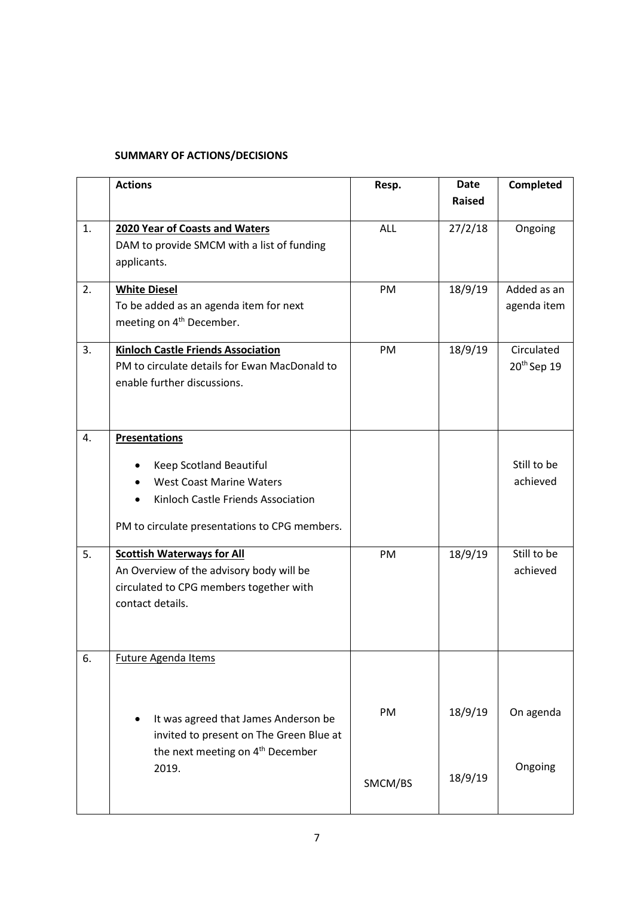## **SUMMARY OF ACTIONS/DECISIONS**

|    | <b>Actions</b>                                | Resp.      | <b>Date</b>   | Completed               |
|----|-----------------------------------------------|------------|---------------|-------------------------|
|    |                                               |            | <b>Raised</b> |                         |
|    |                                               |            |               |                         |
| 1. | 2020 Year of Coasts and Waters                | <b>ALL</b> | 27/2/18       | Ongoing                 |
|    | DAM to provide SMCM with a list of funding    |            |               |                         |
|    | applicants.                                   |            |               |                         |
| 2. | <b>White Diesel</b>                           | PM         | 18/9/19       | Added as an             |
|    | To be added as an agenda item for next        |            |               | agenda item             |
|    | meeting on 4 <sup>th</sup> December.          |            |               |                         |
| 3. | <b>Kinloch Castle Friends Association</b>     | PM         | 18/9/19       | Circulated              |
|    | PM to circulate details for Ewan MacDonald to |            |               | 20 <sup>th</sup> Sep 19 |
|    | enable further discussions.                   |            |               |                         |
|    |                                               |            |               |                         |
|    |                                               |            |               |                         |
| 4. | <b>Presentations</b>                          |            |               |                         |
|    | Keep Scotland Beautiful                       |            |               | Still to be             |
|    | <b>West Coast Marine Waters</b>               |            |               | achieved                |
|    | Kinloch Castle Friends Association            |            |               |                         |
|    |                                               |            |               |                         |
|    | PM to circulate presentations to CPG members. |            |               |                         |
| 5. | <b>Scottish Waterways for All</b>             | PM         | 18/9/19       | Still to be             |
|    | An Overview of the advisory body will be      |            |               | achieved                |
|    | circulated to CPG members together with       |            |               |                         |
|    | contact details.                              |            |               |                         |
|    |                                               |            |               |                         |
|    |                                               |            |               |                         |
| 6. | Future Agenda Items                           |            |               |                         |
|    |                                               |            |               |                         |
|    |                                               |            |               |                         |
|    | It was agreed that James Anderson be          | PM         | 18/9/19       | On agenda               |
|    | invited to present on The Green Blue at       |            |               |                         |
|    | the next meeting on 4 <sup>th</sup> December  |            |               |                         |
|    | 2019.                                         |            |               | Ongoing                 |
|    |                                               | SMCM/BS    | 18/9/19       |                         |
|    |                                               |            |               |                         |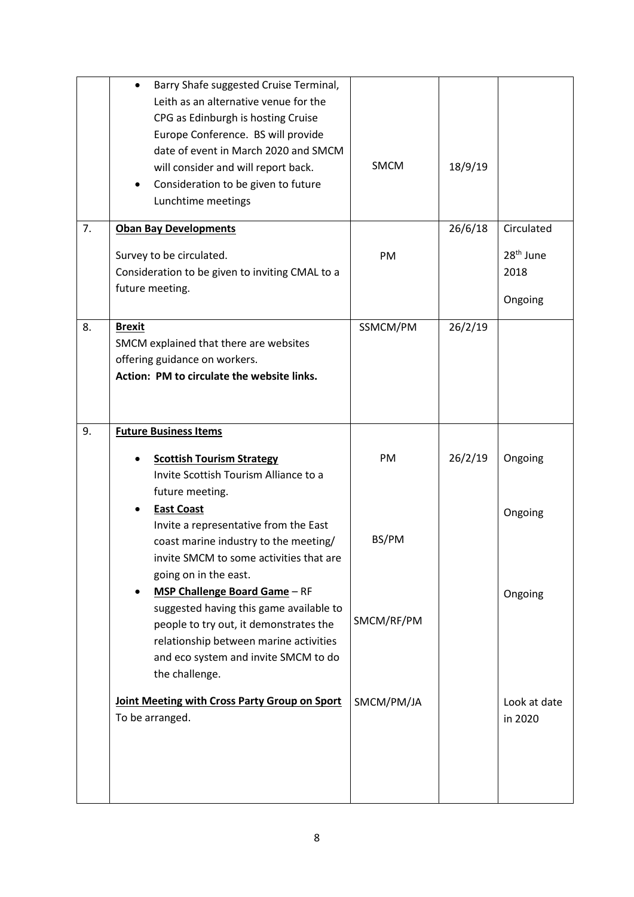|    | Barry Shafe suggested Cruise Terminal,<br>$\bullet$<br>Leith as an alternative venue for the<br>CPG as Edinburgh is hosting Cruise<br>Europe Conference. BS will provide<br>date of event in March 2020 and SMCM<br>will consider and will report back.<br>Consideration to be given to future<br>Lunchtime meetings | <b>SMCM</b> | 18/9/19 |                                          |
|----|----------------------------------------------------------------------------------------------------------------------------------------------------------------------------------------------------------------------------------------------------------------------------------------------------------------------|-------------|---------|------------------------------------------|
| 7. | <b>Oban Bay Developments</b>                                                                                                                                                                                                                                                                                         |             | 26/6/18 | Circulated                               |
|    | Survey to be circulated.<br>Consideration to be given to inviting CMAL to a<br>future meeting.                                                                                                                                                                                                                       | PM          |         | 28 <sup>th</sup> June<br>2018<br>Ongoing |
| 8. | <b>Brexit</b><br>SMCM explained that there are websites<br>offering guidance on workers.<br>Action: PM to circulate the website links.                                                                                                                                                                               | SSMCM/PM    | 26/2/19 |                                          |
| 9. | <b>Future Business Items</b>                                                                                                                                                                                                                                                                                         |             |         |                                          |
|    | <b>Scottish Tourism Strategy</b><br>Invite Scottish Tourism Alliance to a<br>future meeting.<br><b>East Coast</b>                                                                                                                                                                                                    | PM          | 26/2/19 | Ongoing                                  |
|    | Invite a representative from the East<br>coast marine industry to the meeting/<br>invite SMCM to some activities that are<br>going on in the east.                                                                                                                                                                   | BS/PM       |         | Ongoing                                  |
|    | <b>MSP Challenge Board Game - RF</b><br>$\bullet$<br>suggested having this game available to<br>people to try out, it demonstrates the<br>relationship between marine activities<br>and eco system and invite SMCM to do<br>the challenge.                                                                           | SMCM/RF/PM  |         | Ongoing                                  |
|    | Joint Meeting with Cross Party Group on Sport<br>To be arranged.                                                                                                                                                                                                                                                     | SMCM/PM/JA  |         | Look at date<br>in 2020                  |